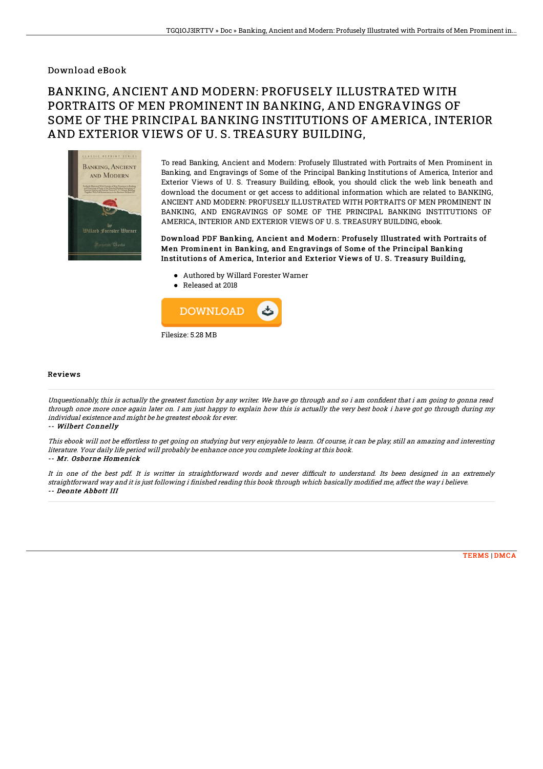### Download eBook

# BANKING, ANCIENT AND MODERN: PROFUSELY ILLUSTRATED WITH PORTRAITS OF MEN PROMINENT IN BANKING, AND ENGRAVINGS OF SOME OF THE PRINCIPAL BANKING INSTITUTIONS OF AMERICA, INTERIOR AND EXTERIOR VIEWS OF U. S. TREASURY BUILDING,



To read Banking, Ancient and Modern: Profusely Illustrated with Portraits of Men Prominent in Banking, and Engravings of Some of the Principal Banking Institutions of America, Interior and Exterior Views of U. S. Treasury Building, eBook, you should click the web link beneath and download the document or get access to additional information which are related to BANKING, ANCIENT AND MODERN: PROFUSELY ILLUSTRATED WITH PORTRAITS OF MEN PROMINENT IN BANKING, AND ENGRAVINGS OF SOME OF THE PRINCIPAL BANKING INSTITUTIONS OF AMERICA, INTERIOR AND EXTERIOR VIEWS OF U. S. TREASURY BUILDING, ebook.

Download PDF Banking, Ancient and Modern: Profusely Illustrated with Portraits of Men Prominent in Banking, and Engravings of Some of the Principal Banking Institutions of America, Interior and Exterior Views of U. S. Treasury Building,

- Authored by Willard Forester Warner
- Released at 2018



Filesize: 5.28 MB

#### Reviews

Unquestionably, this is actually the greatest function by any writer. We have go through and so i am confident that i am going to gonna read through once more once again later on. I am just happy to explain how this is actually the very best book i have got go through during my individual existence and might be he greatest ebook for ever.

-- Wilbert Connelly

This ebook will not be effortless to get going on studying but very enjoyable to learn. Of course, it can be play, still an amazing and interesting literature. Your daily life period will probably be enhance once you complete looking at this book. -- Mr. Osborne Homenick

It in one of the best pdf. It is writter in straightforward words and never difficult to understand. Its been designed in an extremely straightforward way and it is just following i finished reading this book through which basically modified me, affect the way i believe. -- Deonte Abbott III